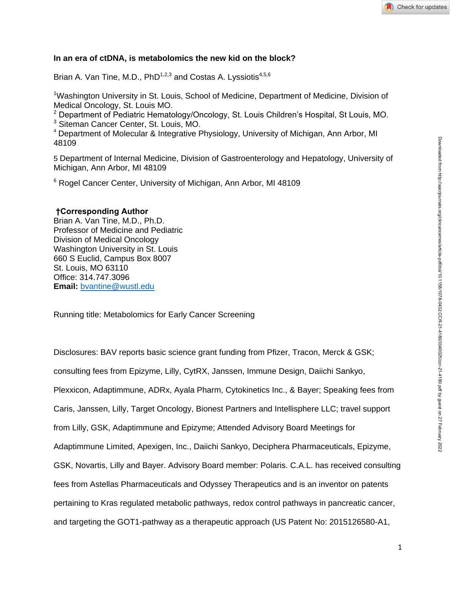### **In an era of ctDNA, is metabolomics the new kid on the block?**

Brian A. Van Tine, M.D.,  $PhD^{1,2,3}$  and Costas A. Lyssiotis<sup>4,5,6</sup>

<sup>1</sup>Washington University in St. Louis, School of Medicine, Department of Medicine, Division of Medical Oncology, St. Louis MO.

<sup>2</sup> Department of Pediatric Hematology/Oncology, St. Louis Children's Hospital, St Louis, MO.

<sup>3</sup> Siteman Cancer Center, St. Louis, MO.

<sup>4</sup> Department of Molecular & Integrative Physiology, University of Michigan, Ann Arbor, MI 48109

5 Department of Internal Medicine, Division of Gastroenterology and Hepatology, University of Michigan, Ann Arbor, MI 48109

<sup>6</sup> Rogel Cancer Center, University of Michigan, Ann Arbor, MI 48109

#### **†Corresponding Author**

Brian A. Van Tine, M.D., Ph.D. Professor of Medicine and Pediatric Division of Medical Oncology Washington University in St. Louis 660 S Euclid, Campus Box 8007 St. Louis, MO 63110 Office: 314.747.3096 **Email:** [bvantine@wustl.edu](mailto:bvantine@wustl.edu)

Running title: Metabolomics for Early Cancer Screening

Disclosures: BAV reports basic science grant funding from Pfizer, Tracon, Merck & GSK; consulting fees from Epizyme, Lilly, CytRX, Janssen, Immune Design, Daiichi Sankyo, Plexxicon, Adaptimmune, ADRx, Ayala Pharm, Cytokinetics Inc., & Bayer; Speaking fees from Caris, Janssen, Lilly, Target Oncology, Bionest Partners and Intellisphere LLC; travel support from Lilly, GSK, Adaptimmune and Epizyme; Attended Advisory Board Meetings for Adaptimmune Limited, Apexigen, Inc., Daiichi Sankyo, Deciphera Pharmaceuticals, Epizyme, GSK, Novartis, Lilly and Bayer. Advisory Board member: Polaris. C.A.L. has received consulting fees from Astellas Pharmaceuticals and Odyssey Therapeutics and is an inventor on patents pertaining to Kras regulated metabolic pathways, redox control pathways in pancreatic cancer, and targeting the GOT1-pathway as a therapeutic approach (US Patent No: 2015126580-A1,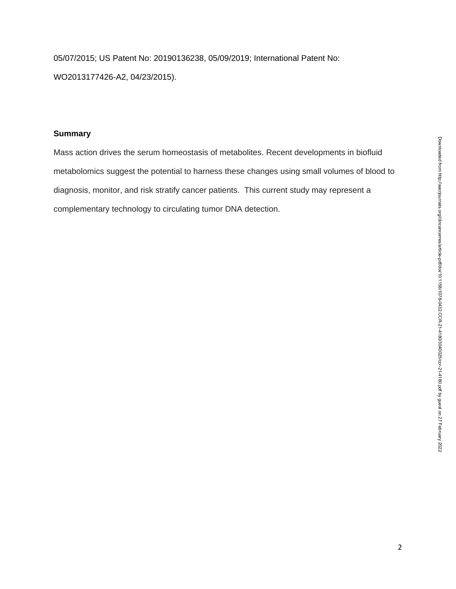05/07/2015; US Patent No: 20190136238, 05/09/2019; International Patent No: WO2013177426-A2, 04/23/2015).

#### **Summary**

Mass action drives the serum homeostasis of metabolites. Recent developments in biofluid metabolomics suggest the potential to harness these changes using small volumes of blood to diagnosis, monitor, and risk stratify cancer patients. This current study may represent a complementary technology to circulating tumor DNA detection.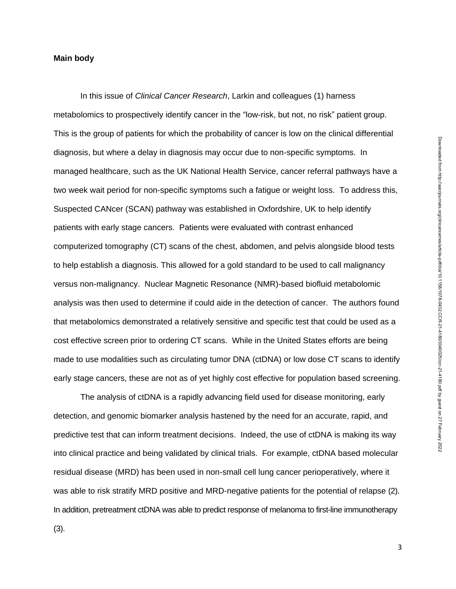#### **Main body**

In this issue of *Clinical Cancer Research*, Larkin and colleagues (1) harness metabolomics to prospectively identify cancer in the "low-risk, but not, no risk" patient group. This is the group of patients for which the probability of cancer is low on the clinical differential diagnosis, but where a delay in diagnosis may occur due to non-specific symptoms. In managed healthcare, such as the UK National Health Service, cancer referral pathways have a two week wait period for non-specific symptoms such a fatigue or weight loss. To address this, Suspected CANcer (SCAN) pathway was established in Oxfordshire, UK to help identify patients with early stage cancers. Patients were evaluated with contrast enhanced computerized tomography (CT) scans of the chest, abdomen, and pelvis alongside blood tests to help establish a diagnosis. This allowed for a gold standard to be used to call malignancy versus non-malignancy. Nuclear Magnetic Resonance (NMR)-based biofluid metabolomic analysis was then used to determine if could aide in the detection of cancer. The authors found that metabolomics demonstrated a relatively sensitive and specific test that could be used as a cost effective screen prior to ordering CT scans. While in the United States efforts are being made to use modalities such as circulating tumor DNA (ctDNA) or low dose CT scans to identify early stage cancers, these are not as of yet highly cost effective for population based screening.

The analysis of ctDNA is a rapidly advancing field used for disease monitoring, early detection, and genomic biomarker analysis hastened by the need for an accurate, rapid, and predictive test that can inform treatment decisions. Indeed, the use of ctDNA is making its way into clinical practice and being validated by clinical trials. For example, ctDNA based molecular residual disease (MRD) has been used in non-small cell lung cancer perioperatively, where it was able to risk stratify MRD positive and MRD-negative patients for the potential of relapse (2). In addition, pretreatment ctDNA was able to predict response of melanoma to first-line immunotherapy (3).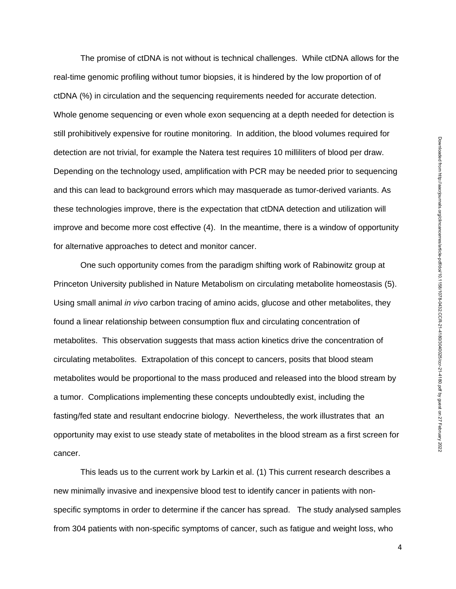The promise of ctDNA is not without is technical challenges. While ctDNA allows for the real-time genomic profiling without tumor biopsies, it is hindered by the low proportion of of ctDNA (%) in circulation and the sequencing requirements needed for accurate detection. Whole genome sequencing or even whole exon sequencing at a depth needed for detection is still prohibitively expensive for routine monitoring. In addition, the blood volumes required for detection are not trivial, for example the Natera test requires 10 milliliters of blood per draw. Depending on the technology used, amplification with PCR may be needed prior to sequencing and this can lead to background errors which may masquerade as tumor-derived variants. As these technologies improve, there is the expectation that ctDNA detection and utilization will improve and become more cost effective (4). In the meantime, there is a window of opportunity for alternative approaches to detect and monitor cancer.

One such opportunity comes from the paradigm shifting work of Rabinowitz group at Princeton University published in Nature Metabolism on circulating metabolite homeostasis (5). Using small animal *in vivo* carbon tracing of amino acids, glucose and other metabolites, they found a linear relationship between consumption flux and circulating concentration of metabolites. This observation suggests that mass action kinetics drive the concentration of circulating metabolites. Extrapolation of this concept to cancers, posits that blood steam metabolites would be proportional to the mass produced and released into the blood stream by a tumor. Complications implementing these concepts undoubtedly exist, including the fasting/fed state and resultant endocrine biology. Nevertheless, the work illustrates that an opportunity may exist to use steady state of metabolites in the blood stream as a first screen for cancer.

This leads us to the current work by Larkin et al. (1) This current research describes a new minimally invasive and inexpensive blood test to identify cancer in patients with nonspecific symptoms in order to determine if the cancer has spread. The study analysed samples from 304 patients with non-specific symptoms of cancer, such as fatigue and weight loss, who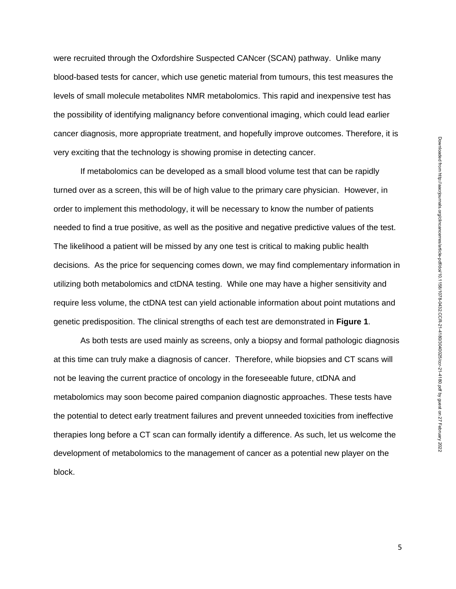were recruited through the Oxfordshire Suspected CANcer (SCAN) pathway. Unlike many blood-based tests for cancer, which use genetic material from tumours, this test measures the levels of small molecule metabolites NMR metabolomics. This rapid and inexpensive test has the possibility of identifying malignancy before conventional imaging, which could lead earlier cancer diagnosis, more appropriate treatment, and hopefully improve outcomes. Therefore, it is very exciting that the technology is showing promise in detecting cancer.

If metabolomics can be developed as a small blood volume test that can be rapidly turned over as a screen, this will be of high value to the primary care physician. However, in order to implement this methodology, it will be necessary to know the number of patients needed to find a true positive, as well as the positive and negative predictive values of the test. The likelihood a patient will be missed by any one test is critical to making public health decisions. As the price for sequencing comes down, we may find complementary information in utilizing both metabolomics and ctDNA testing. While one may have a higher sensitivity and require less volume, the ctDNA test can yield actionable information about point mutations and genetic predisposition. The clinical strengths of each test are demonstrated in **Figure 1**.

As both tests are used mainly as screens, only a biopsy and formal pathologic diagnosis at this time can truly make a diagnosis of cancer. Therefore, while biopsies and CT scans will not be leaving the current practice of oncology in the foreseeable future, ctDNA and metabolomics may soon become paired companion diagnostic approaches. These tests have the potential to detect early treatment failures and prevent unneeded toxicities from ineffective therapies long before a CT scan can formally identify a difference. As such, let us welcome the development of metabolomics to the management of cancer as a potential new player on the block.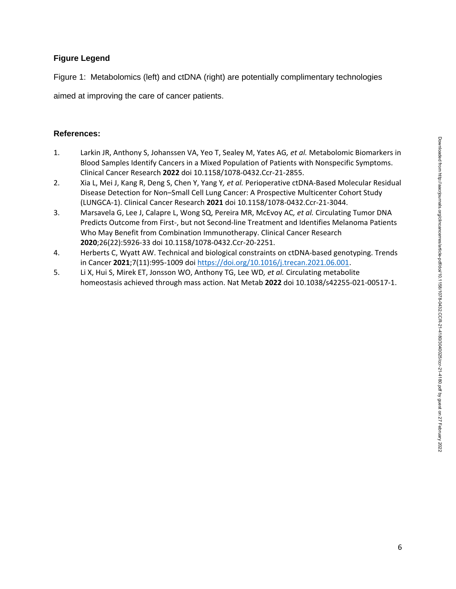# **Figure Legend**

Figure 1: Metabolomics (left) and ctDNA (right) are potentially complimentary technologies

aimed at improving the care of cancer patients.

## **References:**

- 1. Larkin JR, Anthony S, Johanssen VA, Yeo T, Sealey M, Yates AG*, et al.* Metabolomic Biomarkers in Blood Samples Identify Cancers in a Mixed Population of Patients with Nonspecific Symptoms. Clinical Cancer Research **2022** doi 10.1158/1078-0432.Ccr-21-2855.
- 2. Xia L, Mei J, Kang R, Deng S, Chen Y, Yang Y*, et al.* Perioperative ctDNA-Based Molecular Residual Disease Detection for Non–Small Cell Lung Cancer: A Prospective Multicenter Cohort Study (LUNGCA-1). Clinical Cancer Research **2021** doi 10.1158/1078-0432.Ccr-21-3044.
- 3. Marsavela G, Lee J, Calapre L, Wong SQ, Pereira MR, McEvoy AC*, et al.* Circulating Tumor DNA Predicts Outcome from First-, but not Second-line Treatment and Identifies Melanoma Patients Who May Benefit from Combination Immunotherapy. Clinical Cancer Research **2020**;26(22):5926-33 doi 10.1158/1078-0432.Ccr-20-2251.
- 4. Herberts C, Wyatt AW. Technical and biological constraints on ctDNA-based genotyping. Trends in Cancer **2021**;7(11):995-1009 doi [https://doi.org/10.1016/j.trecan.2021.06.001.](https://doi.org/10.1016/j.trecan.2021.06.001)
- 5. Li X, Hui S, Mirek ET, Jonsson WO, Anthony TG, Lee WD*, et al.* Circulating metabolite homeostasis achieved through mass action. Nat Metab **2022** doi 10.1038/s42255-021-00517-1.